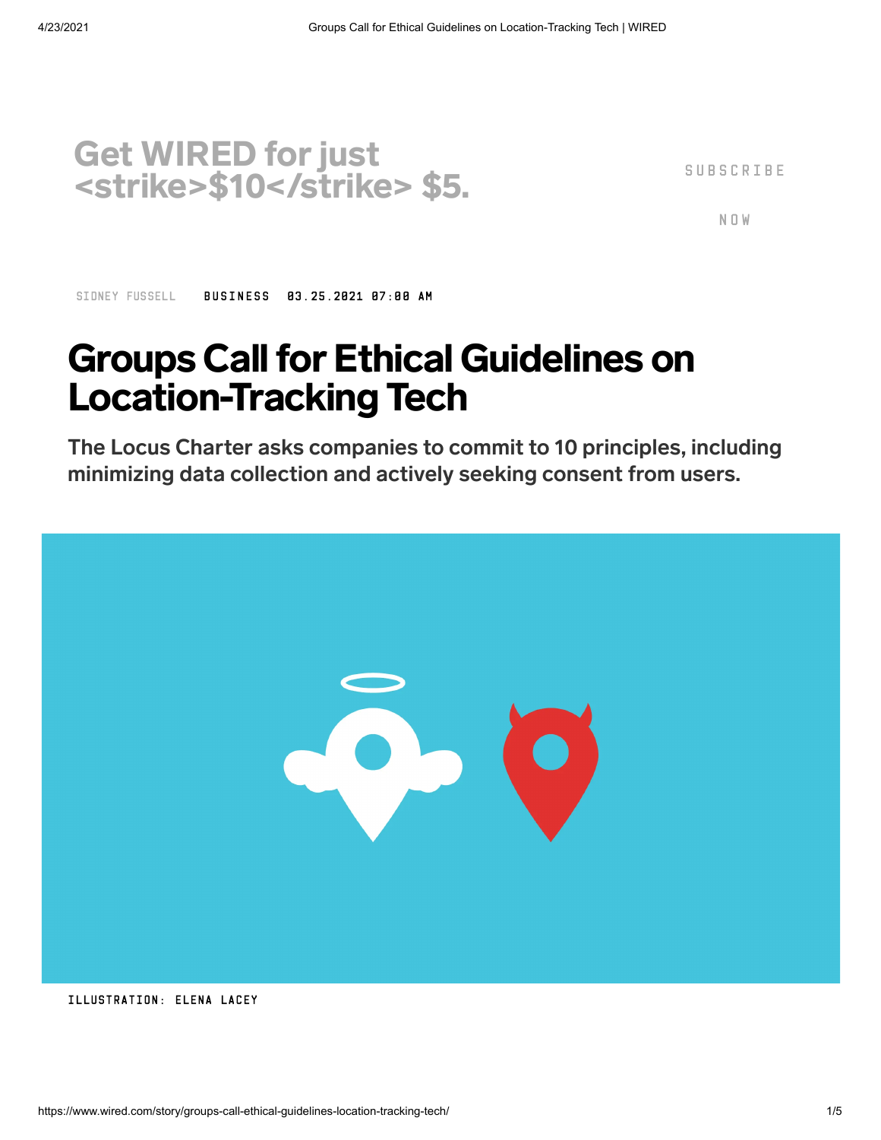

S U B S C R I B E

N O W

SIDNEY [FUSSELL](https://www.wired.com/author/sidney-fussell) [BUSINESS](https://www.wired.com/category/business) 03.25.2021 07:00 AM

## **Groups Call for Ethical Guidelines on** Location-Tracking Tech

The Locus Charter asks companies to commit to 10 principles, including minimizing data collection and actively seeking consent from users.



ILLUSTRATION: ELENA LACEY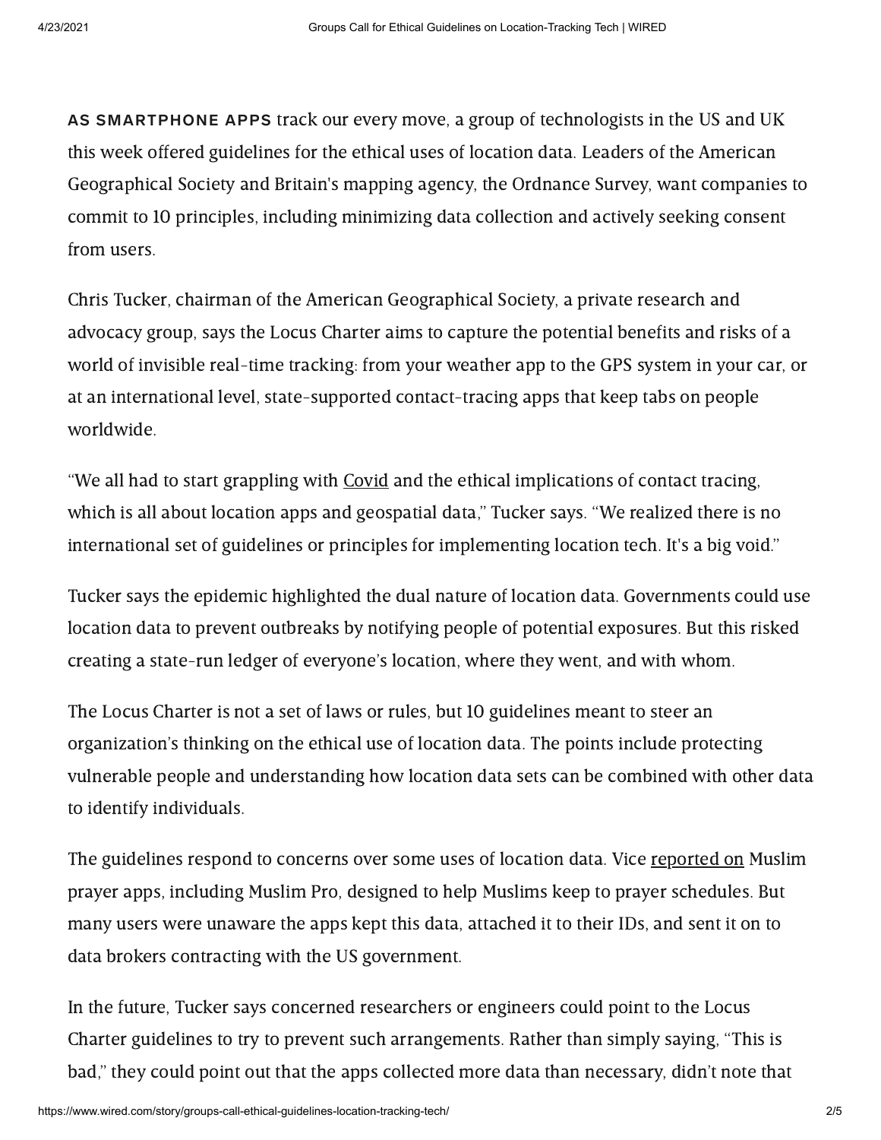AS SMARTPHONE APPS track our every move, a group of technologists in the US and UK this week offered guidelines for the ethical uses of location data. Leaders of the American Geographical Society and Britain's mapping agency, the Ordnance Survey, want companies to commit to 10 principles, including minimizing data collection and actively seeking consent from users.

Chris Tucker, chairman of the American Geographical Society, a private research and advocacy group, says the Locus Charter aims to capture the potential benefits and risks of a world of invisible real-time tracking: from your weather app to the GPS system in your car, or at an international level, state-supported contact-tracing apps that keep tabs on people worldwide.

"We all had to start grappling with [Covid](https://www.wired.com/tag/covid-19/) and the ethical implications of contact tracing, which is all about location apps and geospatial data," Tucker says. "We realized there is no international set of guidelines or principles for implementing location tech. It's a big void."

Tucker says the epidemic highlighted the dual nature of location data. Governments could use location data to prevent outbreaks by notifying people of potential exposures. But this risked creating a state-run ledger of everyone's location, where they went, and with whom.

The Locus Charter is not a set of laws or rules, but 10 guidelines meant to steer an organization's thinking on the ethical use of location data. The points include protecting vulnerable people and understanding how location data sets can be combined with other data to identify individuals.

The guidelines respond to concerns over some uses of location data. Vice [reported](https://www.vice.com/en/article/epdkze/muslim-apps-location-data-military-xmode) on Muslim prayer apps, including Muslim Pro, designed to help Muslims keep to prayer schedules. But many users were unaware the apps kept this data, attached it to their IDs, and sent it on to data brokers contracting with the US government.

In the future, Tucker says concerned researchers or engineers could point to the Locus Charter guidelines to try to prevent such arrangements. Rather than simply saying, "This is bad," they could point out that the apps collected more data than necessary, didn't note that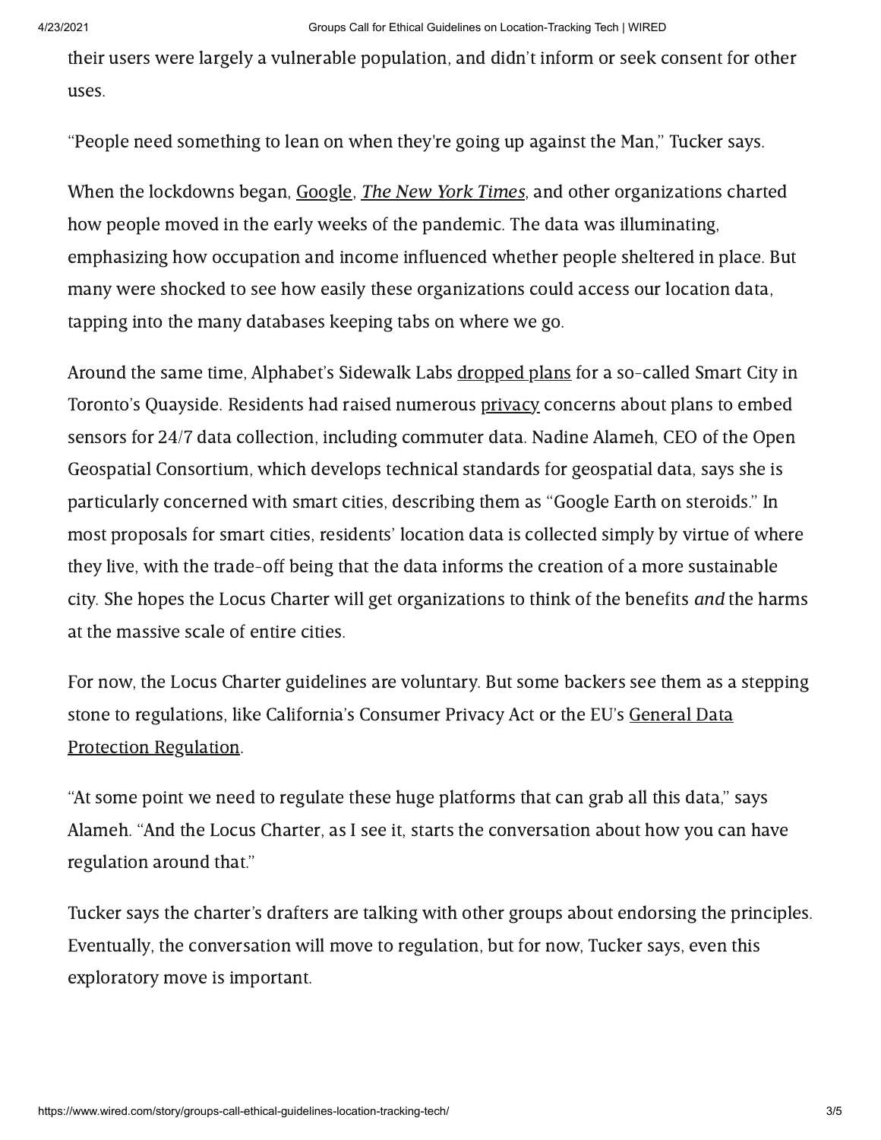their users were largely a vulnerable population, and didn't inform or seek consent for other uses.

"People need something to lean on when they're going up against the Man," Tucker says.

When the lockdowns began, [Google](https://techcrunch.com/2020/04/03/google-is-now-publishing-coronavirus-mobility-reports-feeding-off-users-location-history/), *The New York Times*, and other organizations charted how people moved in the early weeks of the pandemic. The data was illuminating, emphasizing how occupation and income influenced whether people sheltered in place. But many were shocked to see how easily these organizations could access our location data, tapping into the many databases keeping tabs on where we go.

Around the same time, Alphabet's Sidewalk Labs [dropped](https://www.wired.com/story/alphabets-sidewalk-labs-scraps-ambitious-toronto-project/) plans for a so-called Smart City in Toronto's Quayside. Residents had raised numerous [privacy](https://www.wired.com/tag/privacy/) concerns about plans to embed sensors for 24/7 data collection, including commuter data. Nadine Alameh, CEO of the Open Geospatial Consortium, which develops technical standards for geospatial data, says she is particularly concerned with smart cities, describing them as "Google Earth on steroids." In most proposals for smart cities, residents' location data is collected simply by virtue of where they live, with the trade-off being that the data informs the creation of a more sustainable city. She hopes the Locus Charter will get organizations to think of the benefits and the harms at the massive scale of entire cities.

For now, the Locus Charter guidelines are voluntary. But some backers see them as a stepping stone to regulations, like California's Consumer Privacy Act or the EU's General Data Protection [Regulation.](https://www.wired.com/tag/gdpr/)

"At some point we need to regulate these huge platforms that can grab all this data," says Alameh. "And the Locus Charter, as I see it, starts the conversation about how you can have regulation around that."

Tucker says the charter's drafters are talking with other groups about endorsing the principles. Eventually, the conversation will move to regulation, but for now, Tucker says, even this exploratory move is important.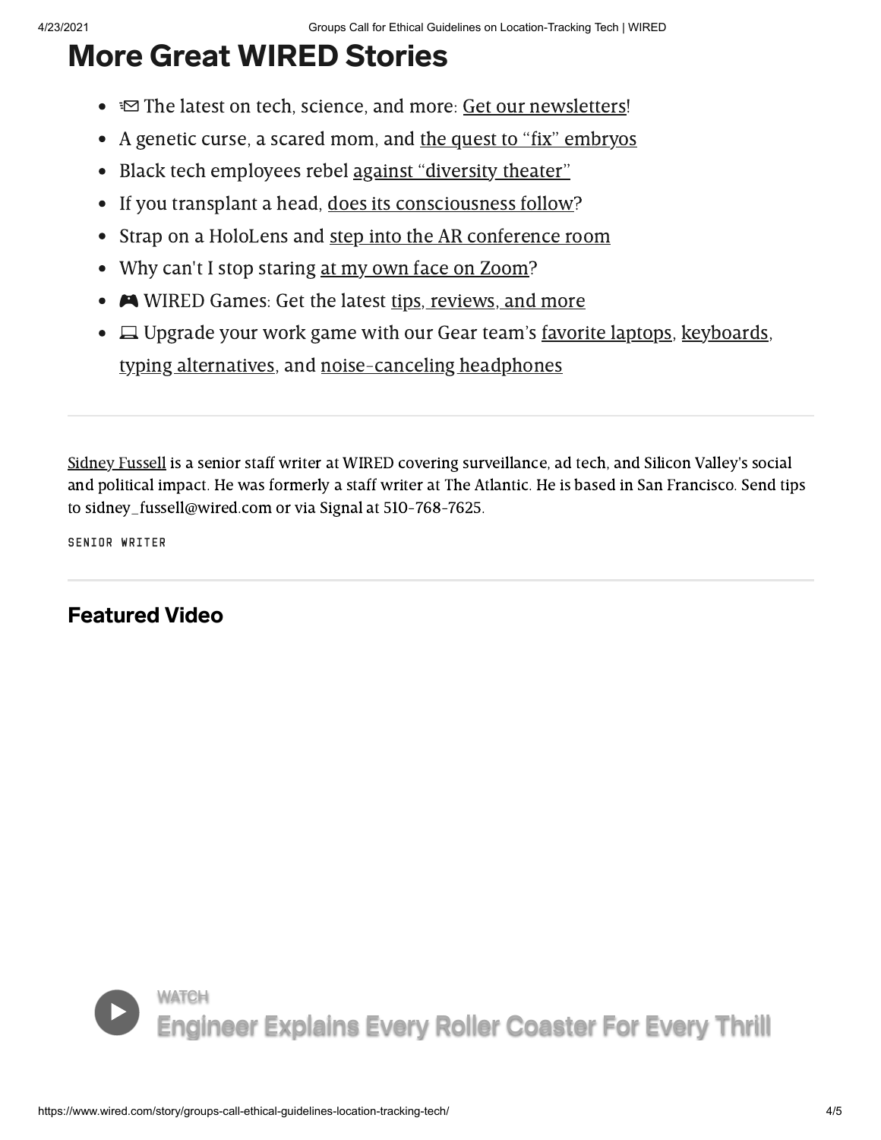## More Great WIRED Stories

- $\equiv$  The latest on tech, science, and more: Get our [newsletters!](https://www.wired.com/newsletter?sourceCode=BottomStories)
- A genetic curse, a scared mom, and the quest to "fix" [embryos](https://www.wired.com/story/genetic-disease-quest-fix-embryo-dna/?itm_campaign=BottomRelatedStories_Sections_3&itm_content=footer-recirc)
- Black tech employees rebel against ["diversity](https://www.wired.com/story/black-tech-employees-rebel-against-diversity-theater/?itm_campaign=BottomRelatedStories_Sections_3&itm_content=footer-recirc) theater"  $\bullet$
- If you transplant a head, does its [consciousness](https://www.wired.com/story/if-you-transplant-human-head-does-consciousness-follow/?itm_campaign=BottomRelatedStories_Sections_3&itm_content=footer-recirc) follow?  $\bullet$
- Strap on a HoloLens and step into the AR [conference](https://www.wired.com/story/hololens-mesh-microsoft-ignite-2021/?itm_campaign=BottomRelatedStories_Sections_3&itm_content=footer-recirc) room  $\bullet$
- Why can't I stop staring at my own face on [Zoom?](https://www.wired.com/story/cloud-support-staring-at-my-face-on-zoom/?itm_campaign=BottomRelatedStories_Sections_3&itm_content=footer-recirc)
- A WIRED Games: Get the latest tips, [reviews,](https://www.wired.com/tag/video-games/?itm_campaign=BottomRelatedStories_Sections_3&itm_content=footer-recirc) and more
- $\bullet$   $\Box$  Upgrade your work game with our Gear team's <u>[favorite](https://www.wired.com/gallery/best-laptops/?itm_campaign=BottomRelatedStories&itm_content=footer-recirc) laptops</u>, [keyboards](https://www.wired.com/story/top-3-mechanical-keyboards/?itm_campaign=BottomRelatedStories&itm_content=footer-recirc), typing [alternatives,](https://www.wired.com/story/best-keyboard-alternatives/?itm_campaign=BottomRelatedStories&itm_content=footer-recirc) and [noise-canceling](https://www.wired.com/gallery/best-noise-canceling-headphones/?itm_campaign=BottomRelatedStories&itm_content=footer-recirc) headphones

Sidney [Fussell](https://www.wired.com/author/sidney-fussell) is a senior staff writer at WIRED covering surveillance, ad tech, and Silicon Valley's social and political impact. He was formerly a staff writer at The Atlantic. He is based in San Francisco. Send tips to sidney fussell@wired.com or via Signal at 510-768-7625.

SENIOR WRITER

Featured Video